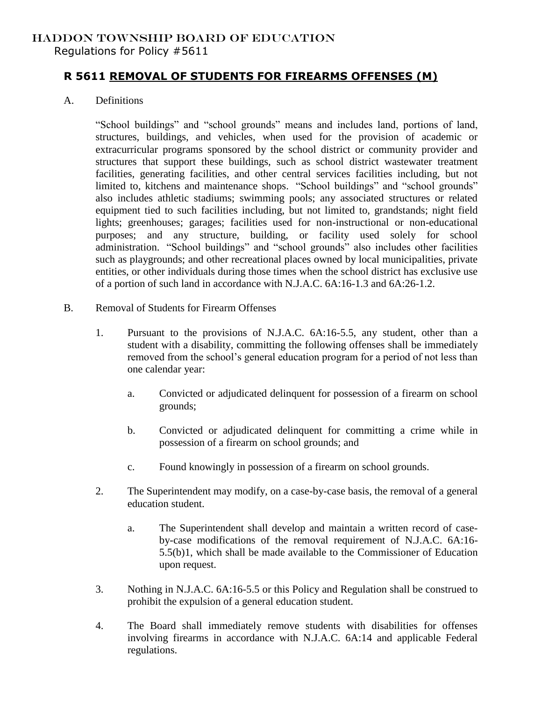## HADDON TOWNSHIP BOARD OF EDUCATION

Regulations for Policy #5611

## **R 5611 REMOVAL OF STUDENTS FOR FIREARMS OFFENSES (M)**

A. Definitions

"School buildings" and "school grounds" means and includes land, portions of land, structures, buildings, and vehicles, when used for the provision of academic or extracurricular programs sponsored by the school district or community provider and structures that support these buildings, such as school district wastewater treatment facilities, generating facilities, and other central services facilities including, but not limited to, kitchens and maintenance shops. "School buildings" and "school grounds" also includes athletic stadiums; swimming pools; any associated structures or related equipment tied to such facilities including, but not limited to, grandstands; night field lights; greenhouses; garages; facilities used for non-instructional or non-educational purposes; and any structure, building, or facility used solely for school administration. "School buildings" and "school grounds" also includes other facilities such as playgrounds; and other recreational places owned by local municipalities, private entities, or other individuals during those times when the school district has exclusive use of a portion of such land in accordance with N.J.A.C. 6A:16-1.3 and 6A:26-1.2.

- B. Removal of Students for Firearm Offenses
	- 1. Pursuant to the provisions of N.J.A.C. 6A:16-5.5, any student, other than a student with a disability, committing the following offenses shall be immediately removed from the school's general education program for a period of not less than one calendar year:
		- a. Convicted or adjudicated delinquent for possession of a firearm on school grounds;
		- b. Convicted or adjudicated delinquent for committing a crime while in possession of a firearm on school grounds; and
		- c. Found knowingly in possession of a firearm on school grounds.
	- 2. The Superintendent may modify, on a case-by-case basis, the removal of a general education student.
		- a. The Superintendent shall develop and maintain a written record of caseby-case modifications of the removal requirement of N.J.A.C. 6A:16- 5.5(b)1, which shall be made available to the Commissioner of Education upon request.
	- 3. Nothing in N.J.A.C. 6A:16-5.5 or this Policy and Regulation shall be construed to prohibit the expulsion of a general education student.
	- 4. The Board shall immediately remove students with disabilities for offenses involving firearms in accordance with N.J.A.C. 6A:14 and applicable Federal regulations.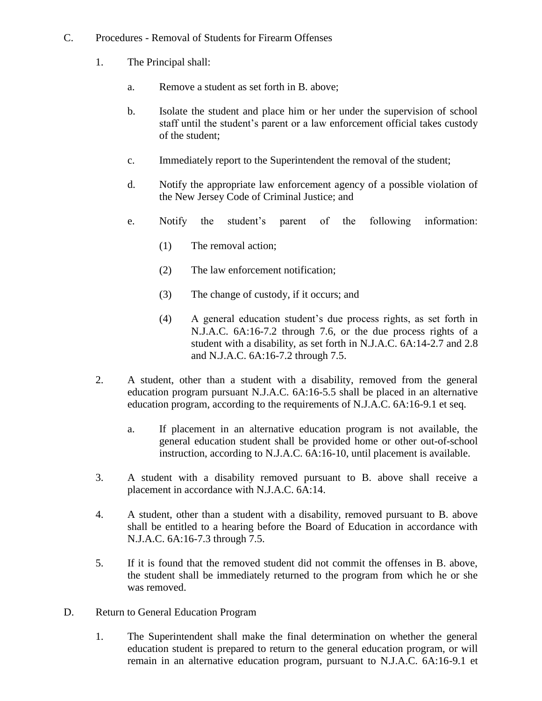- C. Procedures Removal of Students for Firearm Offenses
	- 1. The Principal shall:
		- a. Remove a student as set forth in B. above;
		- b. Isolate the student and place him or her under the supervision of school staff until the student's parent or a law enforcement official takes custody of the student;
		- c. Immediately report to the Superintendent the removal of the student;
		- d. Notify the appropriate law enforcement agency of a possible violation of the New Jersey Code of Criminal Justice; and
		- e. Notify the student's parent of the following information:
			- (1) The removal action;
			- (2) The law enforcement notification;
			- (3) The change of custody, if it occurs; and
			- (4) A general education student's due process rights, as set forth in N.J.A.C. 6A:16-7.2 through 7.6, or the due process rights of a student with a disability, as set forth in N.J.A.C. 6A:14-2.7 and 2.8 and N.J.A.C. 6A:16-7.2 through 7.5.
	- 2. A student, other than a student with a disability, removed from the general education program pursuant N.J.A.C. 6A:16-5.5 shall be placed in an alternative education program, according to the requirements of N.J.A.C. 6A:16-9.1 et seq.
		- a. If placement in an alternative education program is not available, the general education student shall be provided home or other out-of-school instruction, according to N.J.A.C. 6A:16-10, until placement is available.
	- 3. A student with a disability removed pursuant to B. above shall receive a placement in accordance with N.J.A.C. 6A:14.
	- 4. A student, other than a student with a disability, removed pursuant to B. above shall be entitled to a hearing before the Board of Education in accordance with N.J.A.C. 6A:16-7.3 through 7.5.
	- 5. If it is found that the removed student did not commit the offenses in B. above, the student shall be immediately returned to the program from which he or she was removed.
- D. Return to General Education Program
	- 1. The Superintendent shall make the final determination on whether the general education student is prepared to return to the general education program, or will remain in an alternative education program, pursuant to N.J.A.C. 6A:16-9.1 et